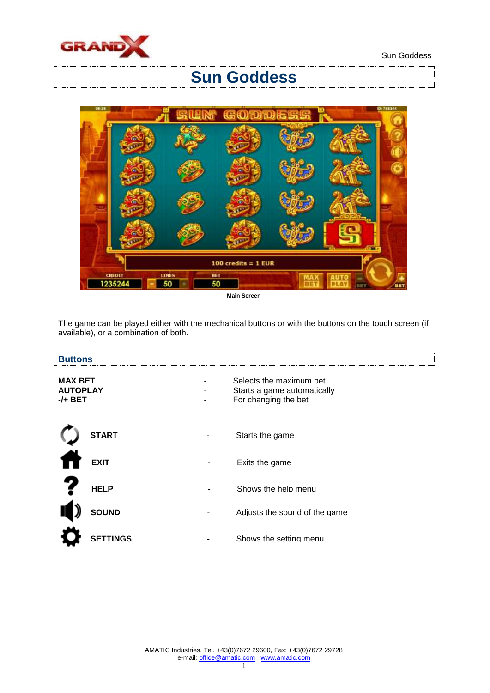

## **Sun Goddess**



**Main Screen**

The game can be played either with the mechanical buttons or with the buttons on the touch screen (if available), or a combination of both.

| <b>Buttons</b>                                 |              |                                                                                |
|------------------------------------------------|--------------|--------------------------------------------------------------------------------|
| <b>MAX BET</b><br><b>AUTOPLAY</b><br>$-/-$ BET |              | Selects the maximum bet<br>Starts a game automatically<br>For changing the bet |
|                                                | <b>START</b> | Starts the game                                                                |
|                                                | <b>EXIT</b>  | Exits the game                                                                 |
|                                                | <b>HELP</b>  | Shows the help menu                                                            |
|                                                | <b>SOUND</b> | Adjusts the sound of the game                                                  |
|                                                | NGS          | Shows the setting menu                                                         |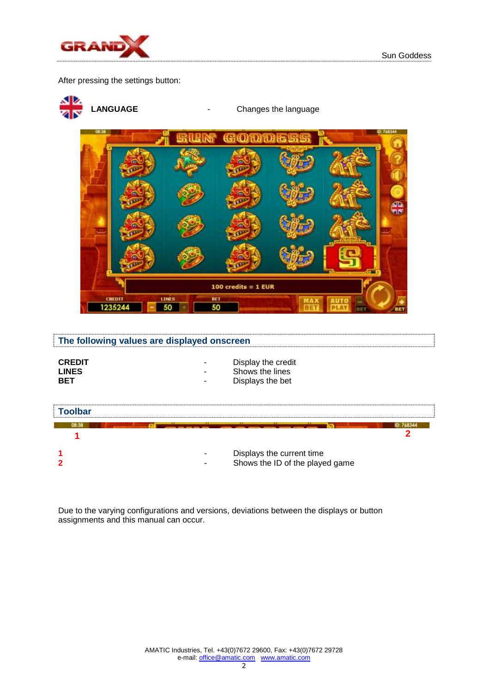

### After pressing the settings button:



**LANGUAGE** - Changes the language



| The following values are displayed onscreen |                                                              |  |  |  |
|---------------------------------------------|--------------------------------------------------------------|--|--|--|
| <b>CREDIT</b><br><b>LINES</b><br><b>BET</b> | Display the credit<br>Shows the lines<br>Displays the bet    |  |  |  |
| <b>Toolbar</b>                              |                                                              |  |  |  |
|                                             |                                                              |  |  |  |
|                                             | Displays the current time<br>Shows the ID of the played game |  |  |  |

Due to the varying configurations and versions, deviations between the displays or button assignments and this manual can occur.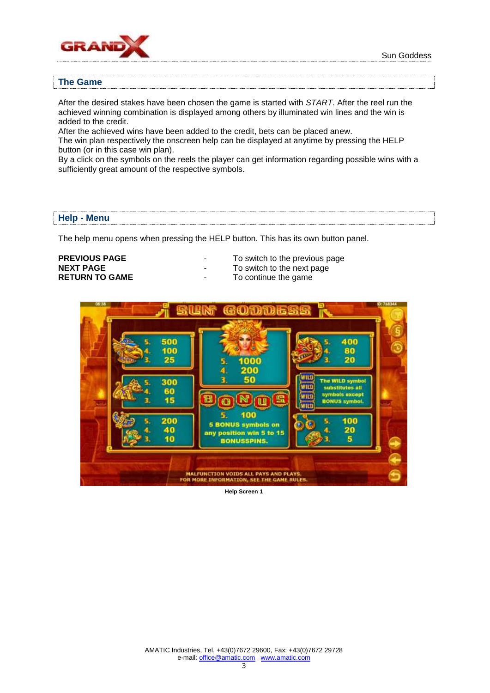

### **The Game**

After the desired stakes have been chosen the game is started with *START*. After the reel run the achieved winning combination is displayed among others by illuminated win lines and the win is added to the credit.

After the achieved wins have been added to the credit, bets can be placed anew.

The win plan respectively the onscreen help can be displayed at anytime by pressing the HELP button (or in this case win plan).

By a click on the symbols on the reels the player can get information regarding possible wins with a sufficiently great amount of the respective symbols.

### **Help - Menu**

The help menu opens when pressing the HELP button. This has its own button panel.

# **NEXT PAGE CONSIDERT A RETURN TO GAME CONSIDERT A RETURN TO GAME CONSIDERT A RETURN TO GONIFICAT A RETURN TO GONIFICAT A RETURN TO GONIFICAT A RETURN TO GONIFICAT A RETURN TO GONIFICAT A RETURN TO GONIFICAT A RETURN**

- **PREVIOUS PAGE** To switch to the previous page
	-
	- **To continue the game**



**Help Screen 1**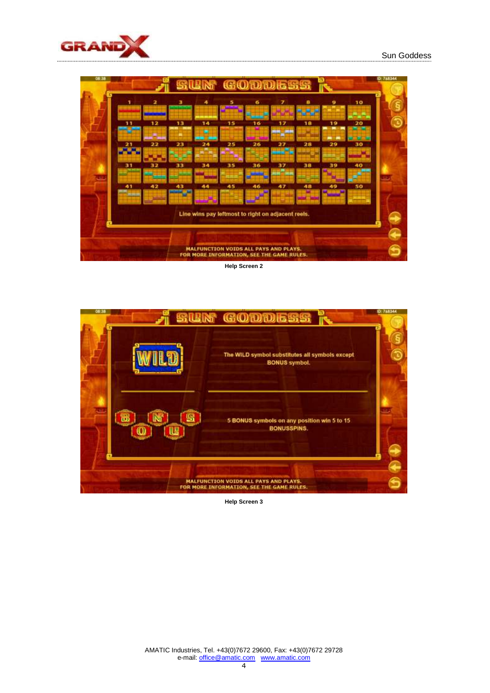



**Help Screen 2**



**Help Screen 3**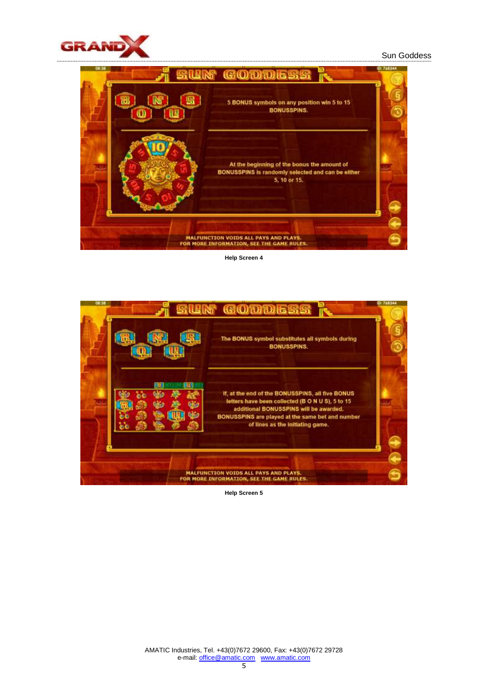

#### Sun Goddess



**Help Screen 4**



**Help Screen 5**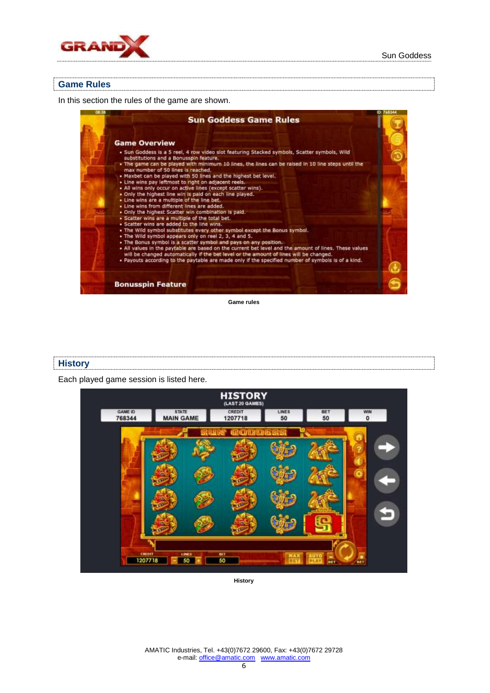

### **Game Rules**

In this section the rules of the game are shown.



**Game rules**

### **History**

Each played game session is listed here.



**History**